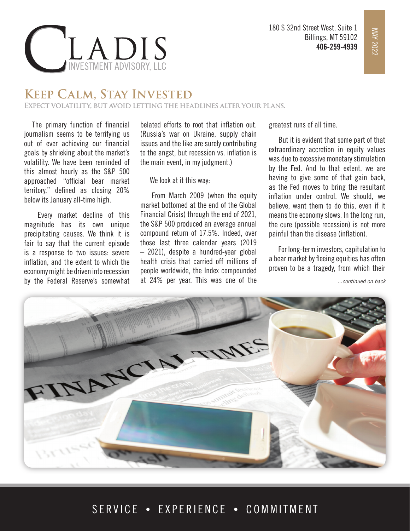

## INVESTMENT ADVISORY, LLC

## **Keep Calm, Stay Invested**

**Expect volatility, but avoid letting the headlines alter your plans.**

The primary function of financial journalism seems to be terrifying us out of ever achieving our financial goals by shrieking about the market's volatility. We have been reminded of this almost hourly as the S&P 500 approached "official bear market territory," defined as closing 20% below its January all-time high.

 Every market decline of this magnitude has its own unique precipitating causes. We think it is fair to say that the current episode is a response to two issues: severe inflation, and the extent to which the economy might be driven into recession by the Federal Reserve's somewhat

belated efforts to root that inflation out. (Russia's war on Ukraine, supply chain issues and the like are surely contributing to the angst, but recession vs. inflation is the main event, in my judgment.)

We look at it this way:

 From March 2009 (when the equity market bottomed at the end of the Global Financial Crisis) through the end of 2021, the S&P 500 produced an average annual compound return of 17.5%. Indeed, over those last three calendar years (2019 – 2021), despite a hundred-year global health crisis that carried off millions of people worldwide, the Index compounded at 24% per year. This was one of the

greatest runs of all time.

 But it is evident that some part of that extraordinary accretion in equity values was due to excessive monetary stimulation by the Fed. And to that extent, we are having to give some of that gain back, as the Fed moves to bring the resultant inflation under control. We should, we believe, want them to do this, even if it means the economy slows. In the long run, the cure (possible recession) is not more painful than the disease (inflation).

 For long-term investors, capitulation to a bear market by fleeing equities has often proven to be a tragedy, from which their

*...continued on back*